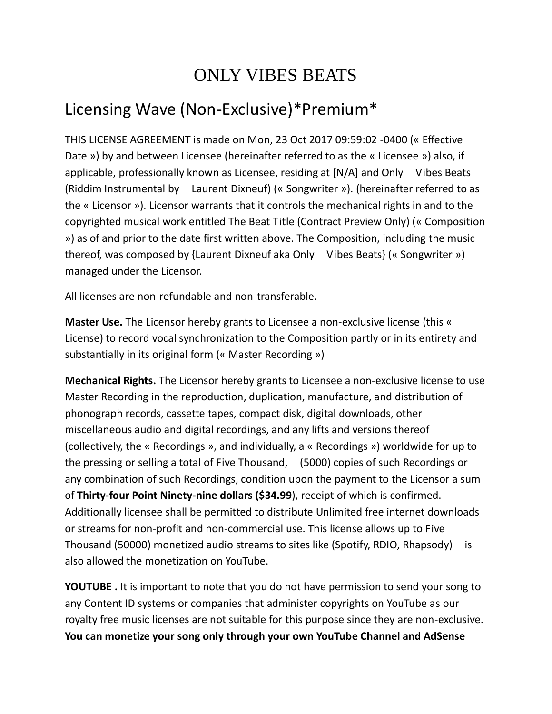## ONLY VIBES BEATS

## Licensing Wave (Non-Exclusive)\*Premium\*

THIS LICENSE AGREEMENT is made on Mon, 23 Oct 2017 09:59:02 -0400 (« Effective Date ») by and between Licensee (hereinafter referred to as the « Licensee ») also, if applicable, professionally known as Licensee, residing at [N/A] and Only Vibes Beats (Riddim Instrumental by Laurent Dixneuf) (« Songwriter »). (hereinafter referred to as the « Licensor »). Licensor warrants that it controls the mechanical rights in and to the copyrighted musical work entitled The Beat Title (Contract Preview Only) (« Composition ») as of and prior to the date first written above. The Composition, including the music thereof, was composed by {Laurent Dixneuf aka Only Vibes Beats} (« Songwriter ») managed under the Licensor.

All licenses are non-refundable and non-transferable.

**Master Use.** The Licensor hereby grants to Licensee a non-exclusive license (this « License) to record vocal synchronization to the Composition partly or in its entirety and substantially in its original form (« Master Recording »)

**Mechanical Rights.** The Licensor hereby grants to Licensee a non-exclusive license to use Master Recording in the reproduction, duplication, manufacture, and distribution of phonograph records, cassette tapes, compact disk, digital downloads, other miscellaneous audio and digital recordings, and any lifts and versions thereof (collectively, the « Recordings », and individually, a « Recordings ») worldwide for up to the pressing or selling a total of Five Thousand, (5000) copies of such Recordings or any combination of such Recordings, condition upon the payment to the Licensor a sum of **Thirty-four Point Ninety-nine dollars (\$34.99**), receipt of which is confirmed. Additionally licensee shall be permitted to distribute Unlimited free internet downloads or streams for non-profit and non-commercial use. This license allows up to Five Thousand (50000) monetized audio streams to sites like (Spotify, RDIO, Rhapsody) is also allowed the monetization on YouTube.

**YOUTUBE .** It is important to note that you do not have permission to send your song to any Content ID systems or companies that administer copyrights on YouTube as our royalty free music licenses are not suitable for this purpose since they are non-exclusive. **You can monetize your song only through your own YouTube Channel and AdSense**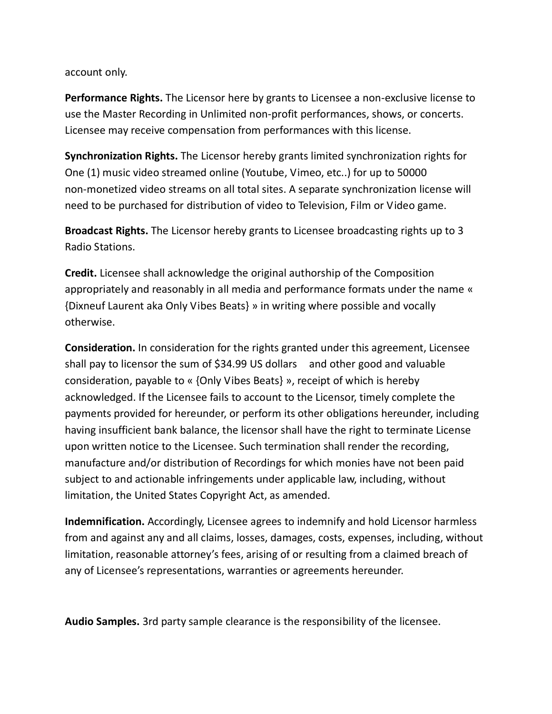## account only.

**Performance Rights.** The Licensor here by grants to Licensee a non-exclusive license to use the Master Recording in Unlimited non-profit performances, shows, or concerts. Licensee may receive compensation from performances with this license.

**Synchronization Rights.** The Licensor hereby grants limited synchronization rights for One (1) music video streamed online (Youtube, Vimeo, etc..) for up to 50000 non-monetized video streams on all total sites. A separate synchronization license will need to be purchased for distribution of video to Television, Film or Video game.

**Broadcast Rights.** The Licensor hereby grants to Licensee broadcasting rights up to 3 Radio Stations.

**Credit.** Licensee shall acknowledge the original authorship of the Composition appropriately and reasonably in all media and performance formats under the name « {Dixneuf Laurent aka Only Vibes Beats} » in writing where possible and vocally otherwise.

**Consideration.** In consideration for the rights granted under this agreement, Licensee shall pay to licensor the sum of \$34.99 US dollars and other good and valuable consideration, payable to « {Only Vibes Beats} », receipt of which is hereby acknowledged. If the Licensee fails to account to the Licensor, timely complete the payments provided for hereunder, or perform its other obligations hereunder, including having insufficient bank balance, the licensor shall have the right to terminate License upon written notice to the Licensee. Such termination shall render the recording, manufacture and/or distribution of Recordings for which monies have not been paid subject to and actionable infringements under applicable law, including, without limitation, the United States Copyright Act, as amended.

**Indemnification.** Accordingly, Licensee agrees to indemnify and hold Licensor harmless from and against any and all claims, losses, damages, costs, expenses, including, without limitation, reasonable attorney's fees, arising of or resulting from a claimed breach of any of Licensee's representations, warranties or agreements hereunder.

**Audio Samples.** 3rd party sample clearance is the responsibility of the licensee.